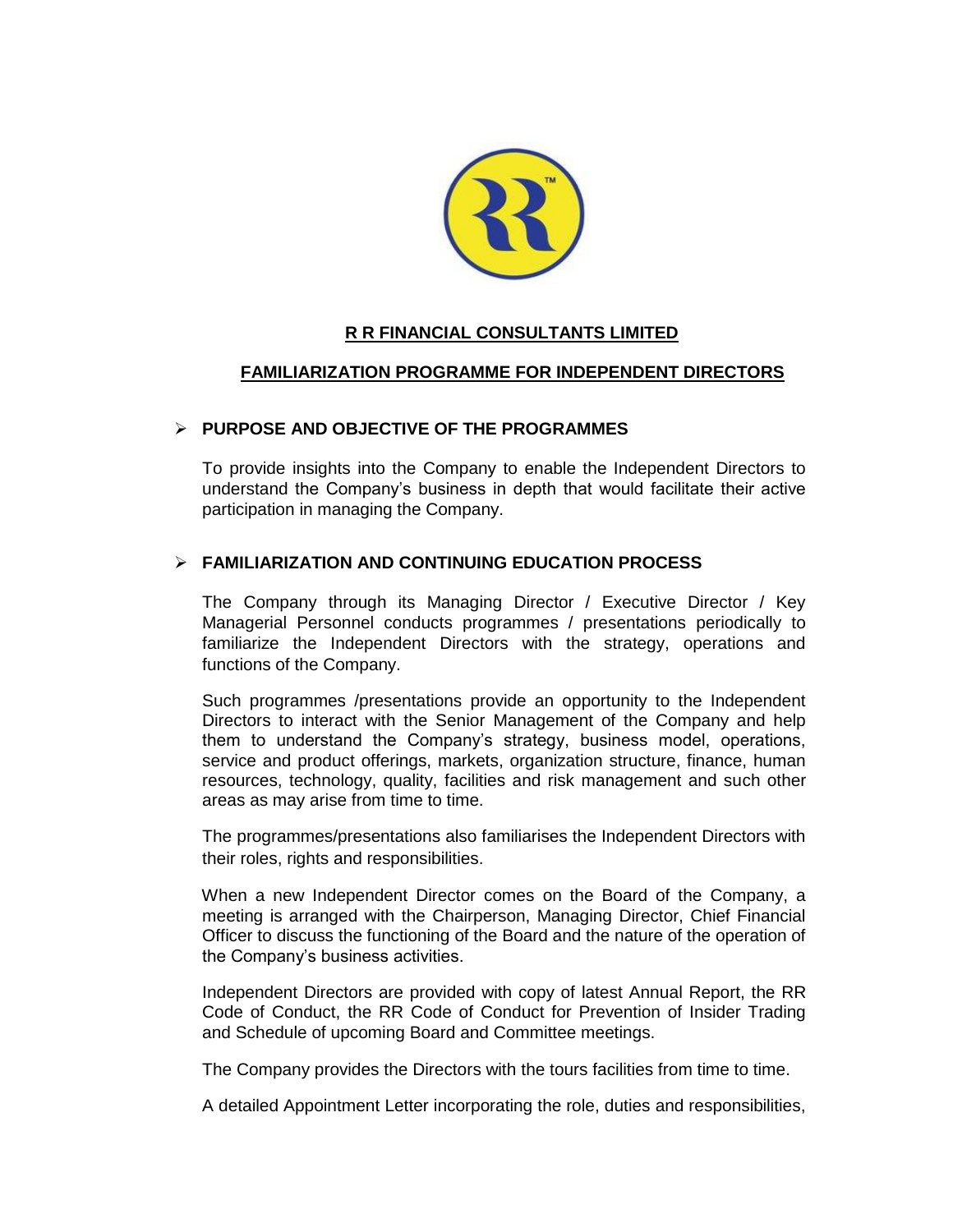

## **R R FINANCIAL CONSULTANTS LIMITED**

# **FAMILIARIZATION PROGRAMME FOR INDEPENDENT DIRECTORS**

## **PURPOSE AND OBJECTIVE OF THE PROGRAMMES**

To provide insights into the Company to enable the Independent Directors to understand the Company's business in depth that would facilitate their active participation in managing the Company.

## **FAMILIARIZATION AND CONTINUING EDUCATION PROCESS**

The Company through its Managing Director / Executive Director / Key Managerial Personnel conducts programmes / presentations periodically to familiarize the Independent Directors with the strategy, operations and functions of the Company.

Such programmes /presentations provide an opportunity to the Independent Directors to interact with the Senior Management of the Company and help them to understand the Company's strategy, business model, operations, service and product offerings, markets, organization structure, finance, human resources, technology, quality, facilities and risk management and such other areas as may arise from time to time.

The programmes/presentations also familiarises the Independent Directors with their roles, rights and responsibilities.

When a new Independent Director comes on the Board of the Company, a meeting is arranged with the Chairperson, Managing Director, Chief Financial Officer to discuss the functioning of the Board and the nature of the operation of the Company's business activities.

Independent Directors are provided with copy of latest Annual Report, the RR Code of Conduct, the RR Code of Conduct for Prevention of Insider Trading and Schedule of upcoming Board and Committee meetings.

The Company provides the Directors with the tours facilities from time to time.

A detailed Appointment Letter incorporating the role, duties and responsibilities,